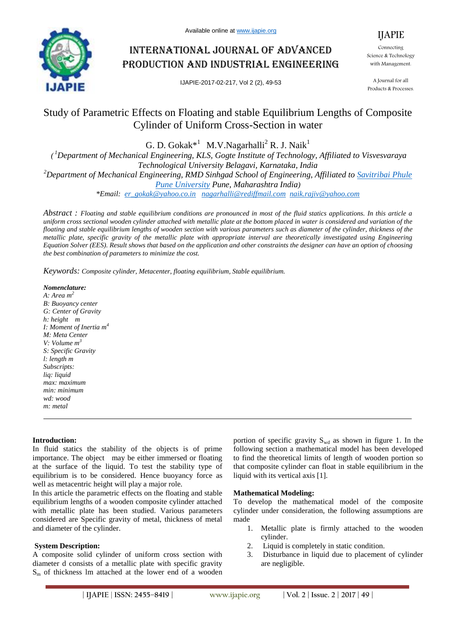

# International journal of advanced production and industrial engineering

IJAPIE-2017-02-217, Vol 2 (2), 49-53

IJAPIE Connecting Science & Technology with Management.

A Journal for all Products & Processes.

# Study of Parametric Effects on Floating and stable Equilibrium Lengths of Composite Cylinder of Uniform Cross-Section in water

G. D. Gokak<sup>\*1</sup> M.V.Nagarhalli<sup>2</sup> R. J. Naik<sup>1</sup>

*( <sup>1</sup>Department of Mechanical Engineering, KLS, Gogte Institute of Technology, Affiliated to Visvesvaraya Technological University Belagavi, Karnataka, India <sup>2</sup>Department of Mechanical Engineering, RMD Sinhgad School of Engineering, Affiliated to Savitribai Phule Pune University Pune, Maharashtra India)*

*\*Email: er\_gokak@yahoo.co.in nagarhalli@rediffmail.com naik.rajiv@yahoo.com*

*Abstract : Floating and stable equilibrium conditions are pronounced in most of the fluid statics applications. In this article a uniform cross sectional wooden cylinder attached with metallic plate at the bottom placed in water is considered and variation of the floating and stable equilibrium lengths of wooden section with various parameters such as diameter of the cylinder, thickness of the metallic plate, specific gravity of the metallic plate with appropriate interval are theoretically investigated using Engineering Equation Solver (EES). Result shows that based on the application and other constraints the designer can have an option of choosing the best combination of parameters to minimize the cost.*

*Keywords: Composite cylinder, Metacenter, floating equilibrium, Stable equilibrium.*

*Nomenclature: A: Area m<sup>2</sup> B: Buoyancy center G: Center of Gravity h: height m I: Moment of Inertia m<sup>4</sup> M: Meta Center V: Volume m<sup>3</sup> S: Specific Gravity l: length m Subscripts: liq: liquid max: maximum min: minimum wd: wood m: metal*

# **Introduction:**

In fluid statics the stability of the objects is of prime importance. The object may be either immersed or floating at the surface of the liquid. To test the stability type of equilibrium is to be considered. Hence buoyancy force as well as metacentric height will play a major role.

In this article the parametric effects on the floating and stable equilibrium lengths of a wooden composite cylinder attached with metallic plate has been studied. Various parameters considered are Specific gravity of metal, thickness of metal and diameter of the cylinder.

#### **System Description:**

A composite solid cylinder of uniform cross section with diameter d consists of a metallic plate with specific gravity  $S<sub>m</sub>$  of thickness lm attached at the lower end of a wooden portion of specific gravity  $S_{wd}$  as shown in figure 1. In the following section a mathematical model has been developed to find the theoretical limits of length of wooden portion so that composite cylinder can float in stable equilibrium in the liquid with its vertical axis [1].

#### **Mathematical Modeling:**

To develop the mathematical model of the composite cylinder under consideration, the following assumptions are made

- 1. Metallic plate is firmly attached to the wooden cylinder.
- 2. Liquid is completely in static condition.
- 3. Disturbance in liquid due to placement of cylinder are negligible.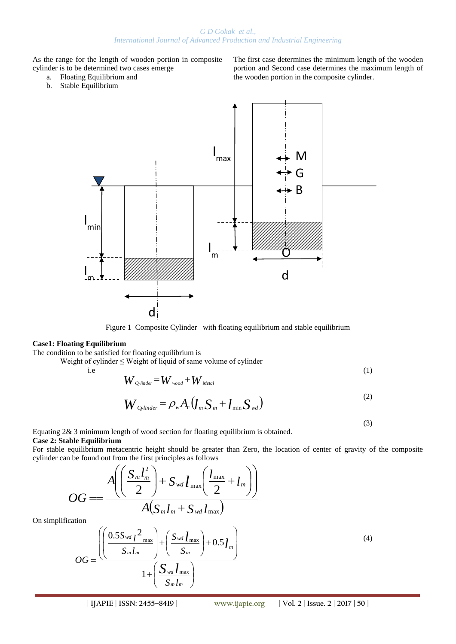# *G D Gokak et al., International Journal of Advanced Production and Industrial Engineering*

As the range for the length of wooden portion in composite cylinder is to be determined two cases emerge

- a. Floating Equilibrium and
- b. Stable Equilibrium

The first case determines the minimum length of the wooden portion and Second case determines the maximum length of the wooden portion in the composite cylinder.

(3)



Figure 1 Composite Cylinder with floating equilibrium and stable equilibrium

#### **Case1: Floating Equilibrium**

The condition to be satisfied for floating equilibrium is

Weight of cylinder ≤ Weight of liquid of same volume of cylinder

i.e 
$$
W_{\text{Cylinder}} = W_{\text{wood}} + W_{\text{Media}}
$$
 (1)

$$
W_{\text{Cylinder}} = \rho_w A_c (l_m S_m + l_{\min} S_{wd})
$$
\n(2)

Equating 2& 3 minimum length of wood section for floating equilibrium is obtained. **Case 2: Stable Equilibrium**

For stable equilibrium metacentric height should be greater than Zero, the location of center of gravity of the composite cylinder can be found out from the first principles as follows

$$
OG = \frac{A\left(\left(\frac{S_m l_m^2}{2}\right) + S_{wd} l_{\max}\left(\frac{l_{\max}}{2} + l_m\right)\right)}{A(S_m l_m + S_{wd} l_{\max})}
$$

On simplific

$$
OG = \frac{\left(\left(\frac{0.5S_{wd}l^2_{\text{max}}}{S_m l_m}\right) + \left(\frac{S_{wd}l_{\text{max}}}{S_m}\right) + 0.5l_m\right)}{1 + \left(\frac{S_{wd}l_{\text{max}}}{S_m l_m}\right)}
$$
(4)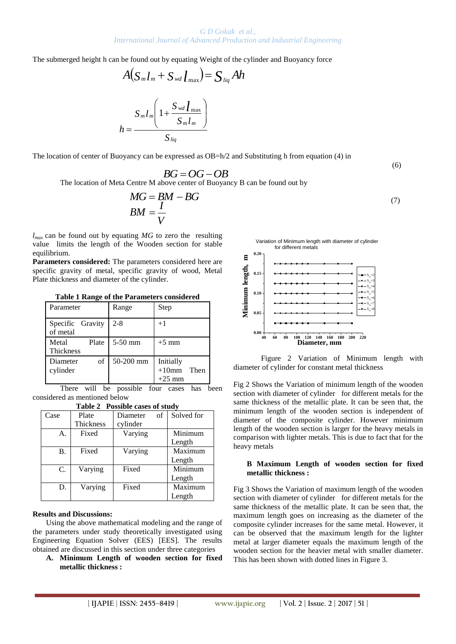The submerged height h can be found out by equating Weight of the cylinder and Buoyancy force

$$
A(S_m l_m + S_{wd} l_{\text{max}}) = S_{liq} Ah
$$

$$
h = \frac{S_m l_m \left(1 + \frac{S_{wd} l_{\text{max}}}{S_m l_m}\right)}{S_{liq}}
$$

The location of center of Buoyancy can be expressed as OB=h/2 and Substituting h from equation (4) in

$$
(6)
$$

The location of Meta Centre M above center of Buoyancy B can be found out by  $BG = OG - OB$ 

$$
S_{liq}
$$
  
mcy can be expressed as OB=h/2 and Substituting h from equation (4) in  

$$
BG = OG - OB
$$
  
Centre M above center of Buoyancy B can be found out by  

$$
MG = BM - BG
$$
  

$$
BM = \frac{I}{V}
$$
 (7)

*lmax* can be found out by equating *MG* to zero the resulting value limits the length of the Wooden section for stable equilibrium.

**Parameters considered:** The parameters considered here are specific gravity of metal, specific gravity of wood, Metal Plate thickness and diameter of the cylinder.

**Table 1 Range of the Parameters considered**

| Parameter                    | Range     | Step                                      |
|------------------------------|-----------|-------------------------------------------|
| Specific Gravity<br>of metal | $2 - 8$   | $+1$                                      |
| Metal<br>Plate<br>Thickness  | $5-50$ mm | $+5$ mm                                   |
| οf<br>Diameter<br>cylinder   | 50-200 mm | Initially<br>$+10$ mm<br>Then<br>$+25$ mm |

There will be possible four cases has been considered as mentioned below

| <b>Table 2</b> T 0ssible cases of study |           |                |            |  |
|-----------------------------------------|-----------|----------------|------------|--|
| Case                                    | Plate     | of<br>Diameter | Solved for |  |
|                                         | Thickness | cylinder       |            |  |
| А.                                      | Fixed     | Varying        | Minimum    |  |
|                                         |           |                | Length     |  |
| В.                                      | Fixed     | Varying        | Maximum    |  |
|                                         |           |                | Length     |  |
| C.                                      | Varying   | Fixed          | Minimum    |  |
|                                         |           |                | Length     |  |
| D.                                      | Varying   | Fixed          | Maximum    |  |
|                                         |           |                | Length     |  |

# **Table 2 Possible cases of study**

#### **Results and Discussions:**

Using the above mathematical modeling and the range of the parameters under study theoretically investigated using Engineering Equation Solver (EES) [EES]. The results obtained are discussed in this section under three categories

**A. Minimum Length of wooden section for fixed metallic thickness :** 

Variation of Minimum length with diameter of cylinder for different metals



Figure 2 Variation of Minimum length with diameter of cylinder for constant metal thickness

Fig 2 Shows the Variation of minimum length of the wooden section with diameter of cylinder for different metals for the same thickness of the metallic plate. It can be seen that, the minimum length of the wooden section is independent of diameter of the composite cylinder. However minimum length of the wooden section is larger for the heavy metals in comparison with lighter metals. This is due to fact that for the heavy metals

#### **B Maximum Length of wooden section for fixed metallic thickness :**

Fig 3 Shows the Variation of maximum length of the wooden section with diameter of cylinder for different metals for the same thickness of the metallic plate. It can be seen that, the maximum length goes on increasing as the diameter of the composite cylinder increases for the same metal. However, it can be observed that the maximum length for the lighter metal at larger diameter equals the maximum length of the wooden section for the heavier metal with smaller diameter. This has been shown with dotted lines in Figure 3.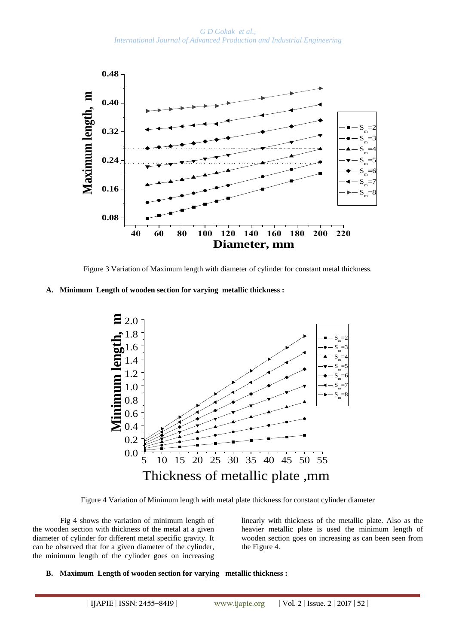*G D Gokak et al., International Journal of Advanced Production and Industrial Engineering*



Figure 3 Variation of Maximum length with diameter of cylinder for constant metal thickness.

## **A. Minimum Length of wooden section for varying metallic thickness :**



Figure 4 Variation of Minimum length with metal plate thickness for constant cylinder diameter

Fig 4 shows the variation of minimum length of the wooden section with thickness of the metal at a given diameter of cylinder for different metal specific gravity. It can be observed that for a given diameter of the cylinder, the minimum length of the cylinder goes on increasing

linearly with thickness of the metallic plate. Also as the heavier metallic plate is used the minimum length of wooden section goes on increasing as can been seen from the Figure 4.

#### **B. Maximum Length of wooden section for varying metallic thickness :**